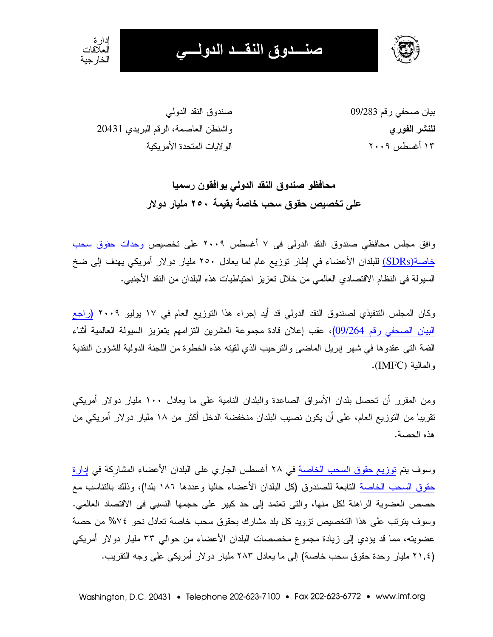



بيان صحفي رقم 09/283 للنشر الفور ي ۱۳ أغسطس ۲۰۰۹

صندوق النقد الدولي واشنطن العاصمة، الرقم البريدي 20431 الو لايات المتحدة الأمر بكبة

> محافظو صندوق النقد الدولي يوافقون رسميا على تخصيص حقوق سحب خاصة بقيمة ٢٥٠ مليار دولار

وافق مجلس محافظي صندوق النقد الدولي في ٧ أغسطس ٢٠٠٩ على تخصيص وحدات حقوق سحب <u>خاصة(SDRs)</u> للبلدان الأعضاء في إطار نوزيع عام لما يعادل ٢٥٠ مليار دولار أمريكي يهدف إلى ضخ السيولة في النظام الاقتصادي العالمي من خلال تعزيز احتياطيات هذه البلدان من النقد الأجنبي.

وكان المجلس التتفيذي لصندوق النقد الدولي قد أيد إجراء هذا التوزيع العام في ١٧ يوليو ٢٠٠٩ (راجع البيان الصحفي رقم 09/264)، عقب إعلان قادة مجموعة العشرين النزامهم بتعزيز السيولة العالمية أثناء القمة التي عقدوها في شهر إبريل الماضي والنرحيب الذي لقيته هذه الخطوة من اللجنة الدولية للشؤون النقدية و المالية (IMFC).

ومن المقرر أن تحصل بلدان الأسواق الصاعدة والبلدان النامية على ما يعادل ١٠٠ مليار دولار أمريكي تقريبا من التوزيع العام، على أن يكون نصيب البلدان منخفضة الدخل أكثر من ١٨ مليار دولار أمريكي من هذه الحصبة.

وسوف يتم توزيع حقوق السحب الخاصة في ٢٨ أغسطس الجاري على البلدان الأعضاء المشاركة في إدارة حقوق السحب الخاصة التابعة للصندوق (كل البلدان الأعضاء حاليا وعددها ١٨٦ بلدا)، وذلك بالنتاسب مع حصص العضوية الراهنة لكل منها، والتي تعتمد إلى حد كبير على حجمها النسبي في الاقتصاد العالمي. وسوف يترتب على هذا التخصيص تزويد كل بلد مشارك بحقوق سحب خاصة تعادل نحو ٧٤% من حصة عضويته، مما قد يؤدي إلى زيادة مجموع مخصصات البلدان الأعضاء من حوالي ٣٣ مليار دولار أمريكي (٢١,٤ مليار وحدة حقوق سحب خاصة) إلى ما يعادل ٢٨٣ مليار دولار أمريكي على وجه النقريب.